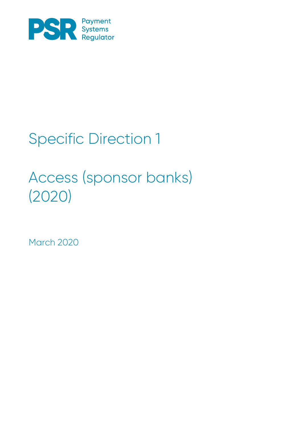

# Specific Direction 1

# Access (sponsor banks) (2020)

March 2020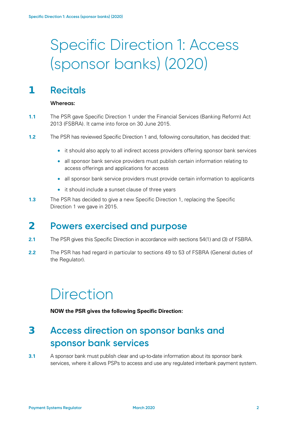# Specific Direction 1: Access (sponsor banks) (2020)

#### **1 Recitals**

#### **Whereas:**

- **1.1** The PSR gave Specific Direction 1 under the Financial Services (Banking Reform) Act 2013 (FSBRA). It came into force on 30 June 2015.
- **1.2** The PSR has reviewed Specific Direction 1 and, following consultation, has decided that:
	- it should also apply to all indirect access providers offering sponsor bank services
	- all sponsor bank service providers must publish certain information relating to access offerings and applications for access
	- all sponsor bank service providers must provide certain information to applicants
	- it should include a sunset clause of three years
- **1.3** The PSR has decided to give a new Specific Direction 1, replacing the Specific Direction 1 we gave in 2015.

#### **2 Powers exercised and purpose**

- **2.1** The PSR gives this Specific Direction in accordance with sections 54(1) and (3) of FSBRA.
- **2.2** The PSR has had regard in particular to sections 49 to 53 of FSBRA (General duties of the Regulator).

### **Direction**

**NOW the PSR gives the following Specific Direction:**

### **3 Access direction on sponsor banks and sponsor bank services**

**3.1** A sponsor bank must publish clear and up-to-date information about its sponsor bank services, where it allows PSPs to access and use any regulated interbank payment system.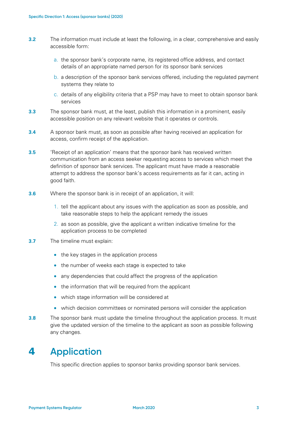- **3.2** The information must include at least the following, in a clear, comprehensive and easily accessible form:
	- a. the sponsor bank's corporate name, its registered office address, and contact details of an appropriate named person for its sponsor bank services
	- b. a description of the sponsor bank services offered, including the regulated payment systems they relate to
	- c. details of any eligibility criteria that a PSP may have to meet to obtain sponsor bank services
- **3.3** The sponsor bank must, at the least, publish this information in a prominent, easily accessible position on any relevant website that it operates or controls.
- **3.4** A sponsor bank must, as soon as possible after having received an application for access, confirm receipt of the application.
- **3.5** 'Receipt of an application' means that the sponsor bank has received written communication from an access seeker requesting access to services which meet the definition of sponsor bank services. The applicant must have made a reasonable attempt to address the sponsor bank's access requirements as far it can, acting in good faith.
- **3.6** Where the sponsor bank is in receipt of an application, it will:
	- 1. tell the applicant about any issues with the application as soon as possible, and take reasonable steps to help the applicant remedy the issues
	- 2. as soon as possible, give the applicant a written indicative timeline for the application process to be completed
- **3.7** The timeline must explain:
	- the key stages in the application process
	- the number of weeks each stage is expected to take
	- any dependencies that could affect the progress of the application
	- the information that will be required from the applicant
	- which stage information will be considered at
	- which decision committees or nominated persons will consider the application
- **3.8** The sponsor bank must update the timeline throughout the application process. It must give the updated version of the timeline to the applicant as soon as possible following any changes.

#### **4 Application**

This specific direction applies to sponsor banks providing sponsor bank services.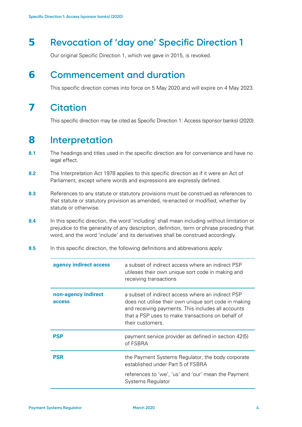#### **5 Revocation of 'day one' Specific Direction 1**

Our original Specific Direction 1, which we gave in 2015, is revoked.

#### **6 Commencement and duration**

This specific direction comes into force on 5 May 2020 and will expire on 4 May 2023.

#### **7 Citation**

This specific direction may be cited as Specific Direction 1: Access (sponsor banks) (2020).

#### **8 Interpretation**

- **8.1** The headings and titles used in the specific direction are for convenience and have no legal effect.
- **8.2** The Interpretation Act 1978 applies to this specific direction as if it were an Act of Parliament, except where words and expressions are expressly defined.
- **8.3** References to any statute or statutory provisions must be construed as references to that statute or statutory provision as amended, re-enacted or modified, whether by statute or otherwise.
- **8.4** In this specific direction, the word 'including' shall mean including without limitation or prejudice to the generality of any description, definition, term or phrase preceding that word, and the word 'include' and its derivatives shall be construed accordingly.
- **8.5** In this specific direction, the following definitions and abbrevations apply:

| agency indirect access        | a subset of indirect access where an indirect PSP<br>utileses their own unique sort code in making and<br>receiving transactions                                                                                                          |
|-------------------------------|-------------------------------------------------------------------------------------------------------------------------------------------------------------------------------------------------------------------------------------------|
| non-agency indirect<br>access | a subset of indirect access where an indirect PSP<br>does not utilise their own unique sort code in making<br>and receiving payments. This includes all accounts<br>that a PSP uses to make transactions on behalf of<br>their customers. |
| PSP                           | payment service provider as defined in section 42(5)<br>of FSBRA                                                                                                                                                                          |
| PSR                           | the Payment Systems Regulator, the body corporate<br>established under Part 5 of FSBRA                                                                                                                                                    |
|                               | references to 'we', 'us' and 'our' mean the Payment<br>Systems Regulator                                                                                                                                                                  |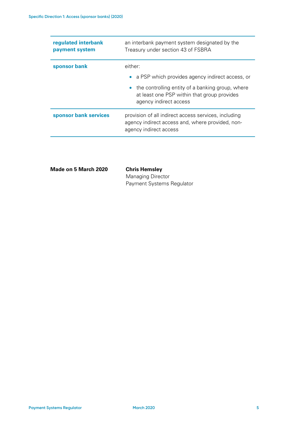| regulated interbank<br>payment system | an interbank payment system designated by the<br>Treasury under section 43 of FSBRA                                                    |
|---------------------------------------|----------------------------------------------------------------------------------------------------------------------------------------|
| sponsor bank                          | either:                                                                                                                                |
|                                       | • a PSP which provides agency indirect access, or                                                                                      |
|                                       | the controlling entity of a banking group, where<br>$\bullet$<br>at least one PSP within that group provides<br>agency indirect access |
| sponsor bank services                 | provision of all indirect access services, including<br>agency indirect access and, where provided, non-<br>agency indirect access     |

| <b>Chris Hemsley</b>      |
|---------------------------|
| <b>Managing Director</b>  |
| Payment Systems Regulator |
|                           |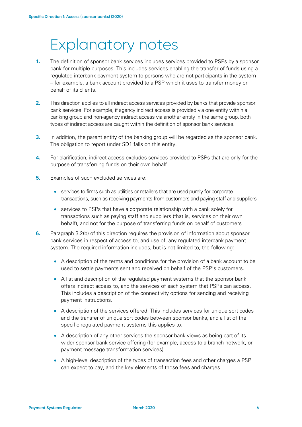## Explanatory notes

- **1.** The definition of sponsor bank services includes services provided to PSPs by a sponsor bank for multiple purposes. This includes services enabling the transfer of funds using a regulated interbank payment system to persons who are not participants in the system – for example, a bank account provided to a PSP which it uses to transfer money on behalf of its clients.
- **2.** This direction applies to all indirect access services provided by banks that provide sponsor bank services. For example, if agency indirect access is provided via one entity within a banking group and non-agency indirect access via another entity in the same group, both types of indirect access are caught within the definition of sponsor bank services.
- **3.** In addition, the parent entity of the banking group will be regarded as the sponsor bank. The obligation to report under SD1 falls on this entity.
- **4.** For clarification, indirect access excludes services provided to PSPs that are only for the purpose of transferring funds on their own behalf.
- **5.** Examples of such excluded services are:
	- services to firms such as utilities or retailers that are used purely for corporate transactions, such as receiving payments from customers and paying staff and suppliers
	- services to PSPs that have a corporate relationship with a bank solely for transactions such as paying staff and suppliers (that is, services on their own behalf), and not for the purpose of transferring funds on behalf of customers
- **6.** Paragraph 3.2(b) of this direction requires the provision of information about sponsor bank services in respect of access to, and use of, any regulated interbank payment system. The required information includes, but is not limited to, the following:
	- A description of the terms and conditions for the provision of a bank account to be used to settle payments sent and received on behalf of the PSP's customers.
	- A list and description of the regulated payment systems that the sponsor bank offers indirect access to, and the services of each system that PSPs can access. This includes a description of the connectivity options for sending and receiving payment instructions.
	- A description of the services offered. This includes services for unique sort codes and the transfer of unique sort codes between sponsor banks, and a list of the specific regulated payment systems this applies to.
	- A description of any other services the sponsor bank views as being part of its wider sponsor bank service offering (for example, access to a branch network, or payment message transformation services).
	- A high-level description of the types of transaction fees and other charges a PSP can expect to pay, and the key elements of those fees and charges.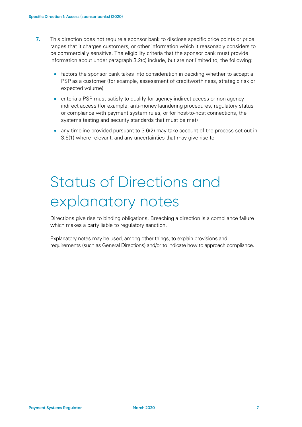- **7.** This direction does not require a sponsor bank to disclose specific price points or price ranges that it charges customers, or other information which it reasonably considers to be commercially sensitive. The eligibility criteria that the sponsor bank must provide information about under paragraph 3.2(c) include, but are not limited to, the following:
	- factors the sponsor bank takes into consideration in deciding whether to accept a PSP as a customer (for example, assessment of creditworthiness, strategic risk or expected volume)
	- criteria a PSP must satisfy to qualify for agency indirect access or non-agency indirect access (for example, anti-money laundering procedures, regulatory status or compliance with payment system rules, or for host-to-host connections, the systems testing and security standards that must be met)
	- any timeline provided pursuant to 3.6(2) may take account of the process set out in 3.6(1) where relevant, and any uncertainties that may give rise to

# Status of Directions and explanatory notes

Directions give rise to binding obligations. Breaching a direction is a compliance failure which makes a party liable to regulatory sanction.

Explanatory notes may be used, among other things, to explain provisions and requirements (such as General Directions) and/or to indicate how to approach compliance.